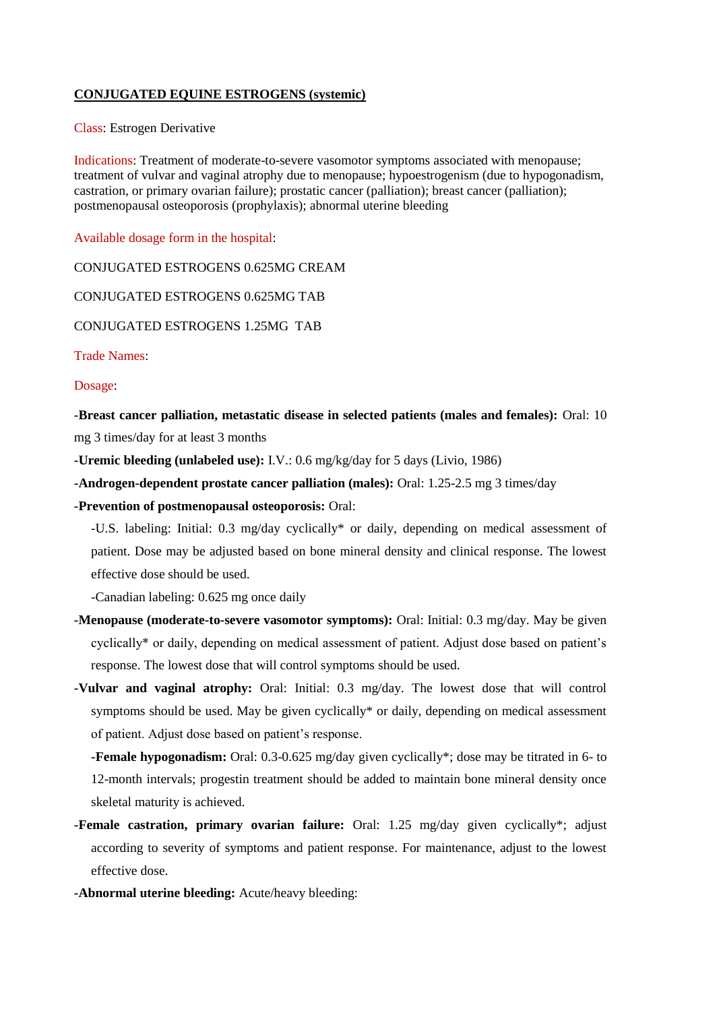## **CONJUGATED EQUINE ESTROGENS (systemic)**

Class: Estrogen Derivative

Indications: Treatment of moderate-to-severe vasomotor symptoms associated with menopause; treatment of vulvar and vaginal atrophy due to menopause; hypoestrogenism (due to hypogonadism, castration, or primary ovarian failure); prostatic cancer (palliation); breast cancer (palliation); postmenopausal osteoporosis (prophylaxis); abnormal uterine bleeding

Available dosage form in the hospital:

CONJUGATED ESTROGENS 0.625MG CREAM

CONJUGATED ESTROGENS 0.625MG TAB

CONJUGATED ESTROGENS 1.25MG TAB

Trade Names:

Dosage:

**-Breast cancer palliation, metastatic disease in selected patients (males and females):** Oral: 10 mg 3 times/day for at least 3 months

**-Uremic bleeding (unlabeled use):** I.V.: 0.6 mg/kg/day for 5 days (Livio, 1986)

**-Androgen-dependent prostate cancer palliation (males):** Oral: 1.25-2.5 mg 3 times/day

**-Prevention of postmenopausal osteoporosis:** Oral:

-U.S. labeling: Initial: 0.3 mg/day cyclically\* or daily, depending on medical assessment of patient. Dose may be adjusted based on bone mineral density and clinical response. The lowest effective dose should be used.

-Canadian labeling: 0.625 mg once daily

- **-Menopause (moderate-to-severe vasomotor symptoms):** Oral: Initial: 0.3 mg/day. May be given cyclically\* or daily, depending on medical assessment of patient. Adjust dose based on patient's response. The lowest dose that will control symptoms should be used.
- **-Vulvar and vaginal atrophy:** Oral: Initial: 0.3 mg/day. The lowest dose that will control symptoms should be used. May be given cyclically\* or daily, depending on medical assessment of patient. Adjust dose based on patient's response.

**-Female hypogonadism:** Oral: 0.3-0.625 mg/day given cyclically\*; dose may be titrated in 6- to 12-month intervals; progestin treatment should be added to maintain bone mineral density once skeletal maturity is achieved.

- **-Female castration, primary ovarian failure:** Oral: 1.25 mg/day given cyclically\*; adjust according to severity of symptoms and patient response. For maintenance, adjust to the lowest effective dose.
- **-Abnormal uterine bleeding:** Acute/heavy bleeding: